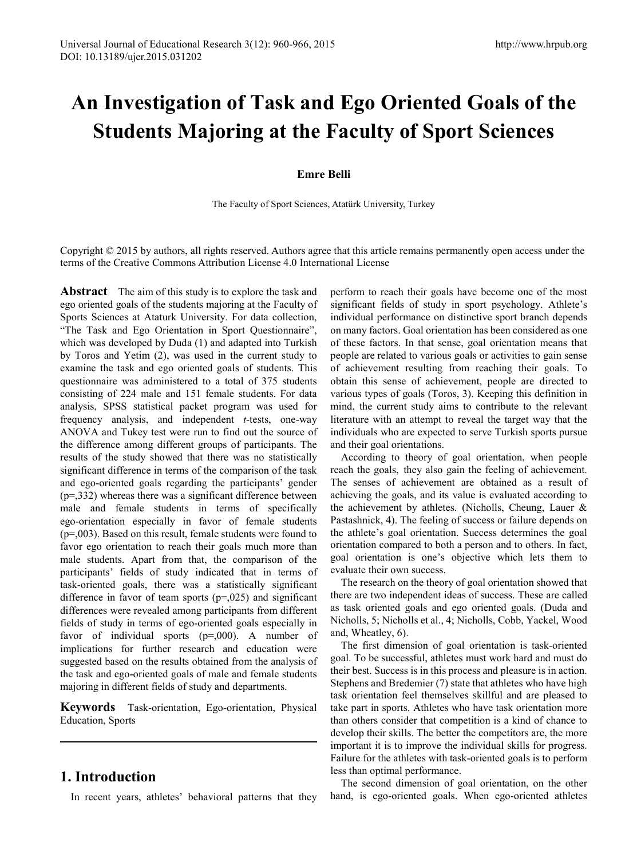# **An Investigation of Task and Ego Oriented Goals of the Students Majoring at the Faculty of Sport Sciences**

#### **Emre Belli**

The Faculty of Sport Sciences, Atatürk University, Turkey

Copyright © 2015 by authors, all rights reserved. Authors agree that this article remains permanently open access under the terms of the Creative Commons Attribution License 4.0 International License

**Abstract** The aim of this study is to explore the task and ego oriented goals of the students majoring at the Faculty of Sports Sciences at Ataturk University. For data collection, "The Task and Ego Orientation in Sport Questionnaire", which was developed by Duda (1) and adapted into Turkish by Toros and Yetim (2), was used in the current study to examine the task and ego oriented goals of students. This questionnaire was administered to a total of 375 students consisting of 224 male and 151 female students. For data analysis, SPSS statistical packet program was used for frequency analysis, and independent *t*-tests, one-way ANOVA and Tukey test were run to find out the source of the difference among different groups of participants. The results of the study showed that there was no statistically significant difference in terms of the comparison of the task and ego-oriented goals regarding the participants' gender (p=,332) whereas there was a significant difference between male and female students in terms of specifically ego-orientation especially in favor of female students (p=,003). Based on this result, female students were found to favor ego orientation to reach their goals much more than male students. Apart from that, the comparison of the participants' fields of study indicated that in terms of task-oriented goals, there was a statistically significant difference in favor of team sports (p=,025) and significant differences were revealed among participants from different fields of study in terms of ego-oriented goals especially in favor of individual sports (p=,000). A number of implications for further research and education were suggested based on the results obtained from the analysis of the task and ego-oriented goals of male and female students majoring in different fields of study and departments.

**Keywords** Task-orientation, Ego-orientation, Physical Education, Sports

## **1. Introduction**

In recent years, athletes' behavioral patterns that they

perform to reach their goals have become one of the most significant fields of study in sport psychology. Athlete's individual performance on distinctive sport branch depends on many factors. Goal orientation has been considered as one of these factors. In that sense, goal orientation means that people are related to various goals or activities to gain sense of achievement resulting from reaching their goals. To obtain this sense of achievement, people are directed to various types of goals (Toros, 3). Keeping this definition in mind, the current study aims to contribute to the relevant literature with an attempt to reveal the target way that the individuals who are expected to serve Turkish sports pursue and their goal orientations.

According to theory of goal orientation, when people reach the goals, they also gain the feeling of achievement. The senses of achievement are obtained as a result of achieving the goals, and its value is evaluated according to the achievement by athletes. (Nicholls, Cheung, Lauer & Pastashnick, 4). The feeling of success or failure depends on the athlete's goal orientation. Success determines the goal orientation compared to both a person and to others. In fact, goal orientation is one's objective which lets them to evaluate their own success.

The research on the theory of goal orientation showed that there are two independent ideas of success. These are called as task oriented goals and ego oriented goals. (Duda and Nicholls, 5; Nicholls et al., 4; Nicholls, Cobb, Yackel, Wood and, Wheatley, 6).

The first dimension of goal orientation is task-oriented goal. To be successful, athletes must work hard and must do their best. Success is in this process and pleasure is in action. Stephens and Bredemier (7) state that athletes who have high task orientation feel themselves skillful and are pleased to take part in sports. Athletes who have task orientation more than others consider that competition is a kind of chance to develop their skills. The better the competitors are, the more important it is to improve the individual skills for progress. Failure for the athletes with task-oriented goals is to perform less than optimal performance.

The second dimension of goal orientation, on the other hand, is ego-oriented goals. When ego-oriented athletes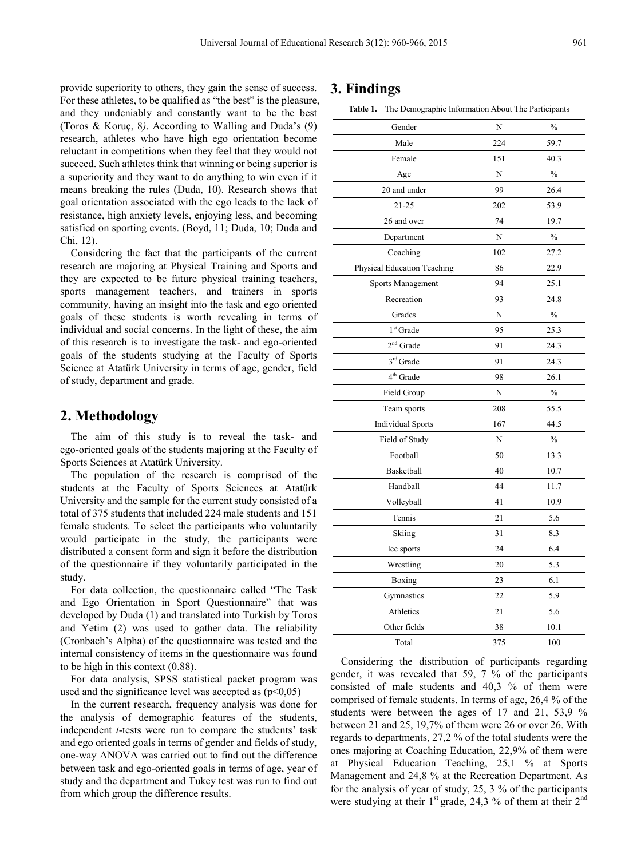provide superiority to others, they gain the sense of success. For these athletes, to be qualified as "the best" is the pleasure, and they undeniably and constantly want to be the best (Toros & Koruç, 8*)*. According to Walling and Duda's (9) research, athletes who have high ego orientation become reluctant in competitions when they feel that they would not succeed. Such athletes think that winning or being superior is a superiority and they want to do anything to win even if it means breaking the rules (Duda, 10). Research shows that goal orientation associated with the ego leads to the lack of resistance, high anxiety levels, enjoying less, and becoming satisfied on sporting events. (Boyd, 11; Duda, 10; Duda and Chi, 12).

Considering the fact that the participants of the current research are majoring at Physical Training and Sports and they are expected to be future physical training teachers, sports management teachers, and trainers in sports community, having an insight into the task and ego oriented goals of these students is worth revealing in terms of individual and social concerns. In the light of these, the aim of this research is to investigate the task- and ego-oriented goals of the students studying at the Faculty of Sports Science at Atatürk University in terms of age, gender, field of study, department and grade.

#### **2. Methodology**

The aim of this study is to reveal the task- and ego-oriented goals of the students majoring at the Faculty of Sports Sciences at Atatürk University.

The population of the research is comprised of the students at the Faculty of Sports Sciences at Atatürk University and the sample for the current study consisted of a total of 375 students that included 224 male students and 151 female students. To select the participants who voluntarily would participate in the study, the participants were distributed a consent form and sign it before the distribution of the questionnaire if they voluntarily participated in the study.

For data collection, the questionnaire called "The Task and Ego Orientation in Sport Questionnaire" that was developed by Duda (1) and translated into Turkish by Toros and Yetim (2) was used to gather data. The reliability (Cronbach's Alpha) of the questionnaire was tested and the internal consistency of items in the questionnaire was found to be high in this context (0.88).

For data analysis, SPSS statistical packet program was used and the significance level was accepted as  $(p<0.05)$ 

In the current research, frequency analysis was done for the analysis of demographic features of the students, independent *t*-tests were run to compare the students' task and ego oriented goals in terms of gender and fields of study, one-way ANOVA was carried out to find out the difference between task and ego-oriented goals in terms of age, year of study and the department and Tukey test was run to find out from which group the difference results.

#### **3. Findings**

**Table 1.** The Demographic Information About The Participants

| Gender                      | N   | $\frac{0}{0}$ |
|-----------------------------|-----|---------------|
| Male                        | 224 | 59.7          |
| Female                      | 151 | 40.3          |
| Age                         | N   | $\frac{0}{0}$ |
| 20 and under                | 99  | 26.4          |
| $21 - 25$                   | 202 | 53.9          |
| 26 and over                 | 74  | 19.7          |
| Department                  | N   | $\frac{0}{0}$ |
| Coaching                    | 102 | 27.2          |
| Physical Education Teaching | 86  | 22.9          |
| Sports Management           | 94  | 25.1          |
| Recreation                  | 93  | 24.8          |
| Grades                      | N   | $\%$          |
| 1 <sup>st</sup> Grade       | 95  | 25.3          |
| $2nd$ Grade                 | 91  | 24.3          |
| $3^{\rm rd}$ Grade          | 91  | 24.3          |
| 4 <sup>th</sup> Grade       | 98  | 26.1          |
| Field Group                 | N   | $\frac{0}{0}$ |
| Team sports                 | 208 | 55.5          |
| <b>Individual Sports</b>    | 167 | 44.5          |
| Field of Study              | N   | $\frac{0}{0}$ |
| Football                    | 50  | 13.3          |
| Basketball                  | 40  | 10.7          |
| Handball                    | 44  | 11.7          |
| Volleyball                  | 41  | 10.9          |
| Tennis                      | 21  | 5.6           |
| Skiing                      | 31  | 8.3           |
| Ice sports                  | 24  | 6.4           |
| Wrestling                   | 20  | 5.3           |
| Boxing                      | 23  | 6.1           |
| Gymnastics                  | 22  | 5.9           |
| Athletics                   | 21  | 5.6           |
| Other fields                | 38  | 10.1          |
| Total                       | 375 | 100           |
|                             |     |               |

Considering the distribution of participants regarding gender, it was revealed that 59, 7 % of the participants consisted of male students and 40,3 % of them were comprised of female students. In terms of age, 26,4 % of the students were between the ages of 17 and 21, 53,9 % between 21 and 25, 19,7% of them were 26 or over 26. With regards to departments, 27,2 % of the total students were the ones majoring at Coaching Education, 22,9% of them were at Physical Education Teaching, 25,1 % at Sports Management and 24,8 % at the Recreation Department. As for the analysis of year of study, 25, 3 % of the participants were studying at their  $1<sup>st</sup>$  grade, 24,3 % of them at their  $2<sup>nd</sup>$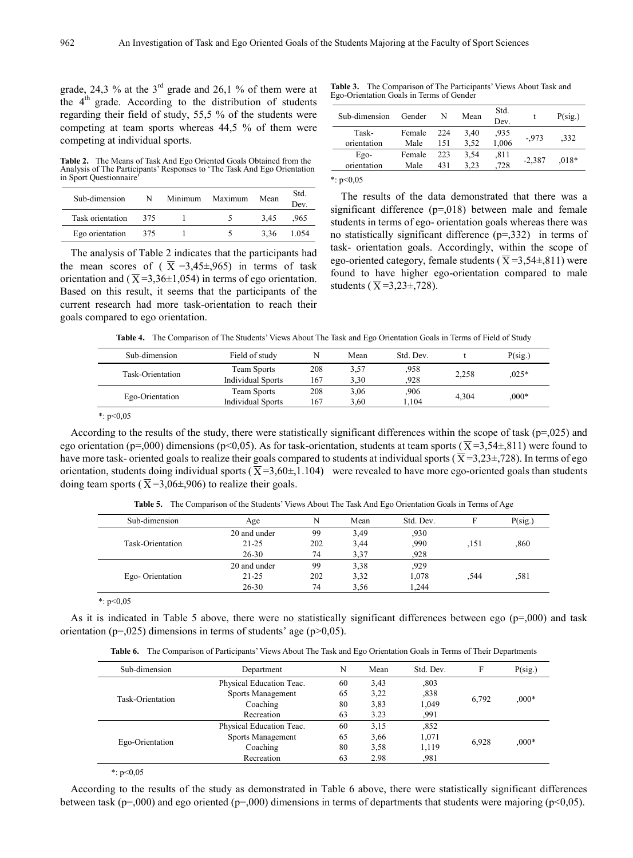grade, 24,3 % at the  $3<sup>rd</sup>$  grade and 26,1 % of them were at the  $4<sup>th</sup>$  grade. According to the distribution of students regarding their field of study, 55,5 % of the students were competing at team sports whereas 44,5 % of them were competing at individual sports.

**Table 2.** The Means of Task And Ego Oriented Goals Obtained from the Analysis of The Participants' Responses to 'The Task And Ego Orientation in Sport Questionnaire'

| Sub-dimension    | N   | Minimum | Maximum | Mean | Std.<br>Dev. |
|------------------|-----|---------|---------|------|--------------|
| Task orientation | 375 |         |         | 3.45 | .965         |
| Ego orientation  | 375 |         |         | 3.36 | 1 0 5 4      |

The analysis of Table 2 indicates that the participants had the mean scores of ( $\overline{X}$  =3,45±,965) in terms of task orientation and  $(\overline{X} = 3,36 \pm 1,054)$  in terms of ego orientation. Based on this result, it seems that the participants of the current research had more task-orientation to reach their goals compared to ego orientation.

| <b>Table 3.</b> The Comparison of The Participants' Views About Task and |
|--------------------------------------------------------------------------|
| Ego-Orientation Goals in Terms of Gender                                 |

|               |        |     |      | Std.  |          |                  |
|---------------|--------|-----|------|-------|----------|------------------|
| Sub-dimension | Gender | N   | Mean | Dev.  |          | $P(\text{sig.})$ |
| Task-         | Female | 224 | 3.40 | .935  | $-973$   | .332             |
| orientation   | Male   | 151 | 3.52 | 1,006 |          |                  |
| Ego-          | Female | 223 | 3,54 | .811  |          | $.018*$          |
| orientation   | Male   | 431 | 3.23 | .728  | $-2,387$ |                  |
|               |        |     |      |       |          |                  |

\*:  $p<0.05$ 

The results of the data demonstrated that there was a significant difference (p=,018) between male and female students in terms of ego- orientation goals whereas there was no statistically significant difference (p=,332) in terms of task- orientation goals. Accordingly, within the scope of ego-oriented category, female students ( $\overline{X}$ =3.54±,811) were found to have higher ego-orientation compared to male students ( $\overline{X}$ =3.23±,728).

**Table 4.** The Comparison of The Students' Views About The Task and Ego Orientation Goals in Terms of Field of Study

| Sub-dimension    | Field of study                          |            | Mean         | Std. Dev.     |       | P(sig.) |
|------------------|-----------------------------------------|------------|--------------|---------------|-------|---------|
| Task-Orientation | Team Sports<br><b>Individual Sports</b> | 208<br>167 | 3.57<br>3.30 | ,958<br>928   | 2.258 | $.025*$ |
| Ego-Orientation  | Team Sports<br><b>Individual Sports</b> | 208<br>167 | 3,06<br>3.60 | ,906<br>1.104 | 4.304 | $.000*$ |

\*: p<0,05

According to the results of the study, there were statistically significant differences within the scope of task ( $p=0.025$ ) and ego orientation (p=,000) dimensions (p<0,05). As for task-orientation, students at team sports ( $\overline{X}$ =3,54±,811) were found to have more task- oriented goals to realize their goals compared to students at individual sports ( $\overline{X}$ =3,23±,728). In terms of ego orientation, students doing individual sports ( $\overline{X}$ =3,60 $\pm$ ,1.104) were revealed to have more ego-oriented goals than students doing team sports ( $\overline{X}$ =3,06±,906) to realize their goals.

| Sub-dimension    | Age          | N   | Mean | Std. Dev. |      | P(sig.) |
|------------------|--------------|-----|------|-----------|------|---------|
|                  | 20 and under | 99  | 3.49 | .930      |      |         |
| Task-Orientation | $21 - 25$    | 202 | 3,44 | ,990      | .151 | ,860    |
|                  | $26 - 30$    | 74  | 3,37 | 928       |      |         |
|                  | 20 and under | 99  | 3,38 | .929      |      |         |
| Ego-Orientation  | $21 - 25$    | 202 | 3.32 | 1,078     | .544 | .581    |
|                  | 26-30        | 74  | 3.56 | 1.244     |      |         |

**Table 5.** The Comparison of the Students' Views About The Task And Ego Orientation Goals in Terms of Age

 $*: p<0.05$ 

As it is indicated in Table 5 above, there were no statistically significant differences between ego  $(p=000)$  and task orientation ( $p=0.025$ ) dimensions in terms of students' age ( $p>0.05$ ).

**Table 6.** The Comparison of Participants' Views About The Task and Ego Orientation Goals in Terms of Their Departments

| Sub-dimension    | Department                              | N  | Mean | Std. Dev. | F     | $P(\text{sig.})$ |
|------------------|-----------------------------------------|----|------|-----------|-------|------------------|
|                  | Physical Education Teac.                | 60 | 3.43 | ,803      |       |                  |
|                  | Sports Management<br>65<br>.838<br>3,22 |    |      |           |       |                  |
| Task-Orientation | Coaching                                | 80 | 3,83 | 1,049     | 6.792 | $0.00*$          |
|                  | Recreation                              | 63 | 3.23 | .991      |       |                  |
|                  | Physical Education Teac.                | 60 | 3,15 | .852      |       |                  |
|                  | Sports Management                       | 65 | 3.66 | 1,071     |       | $0.00*$          |
| Ego-Orientation  | Coaching                                | 80 | 3.58 | 1,119     | 6.928 |                  |
|                  | Recreation                              | 63 | 2.98 | .981      |       |                  |

\*:  $p<0.05$ 

According to the results of the study as demonstrated in Table 6 above, there were statistically significant differences between task ( $p=0.00$ ) and ego oriented ( $p=0.00$ ) dimensions in terms of departments that students were majoring ( $p<0.05$ ).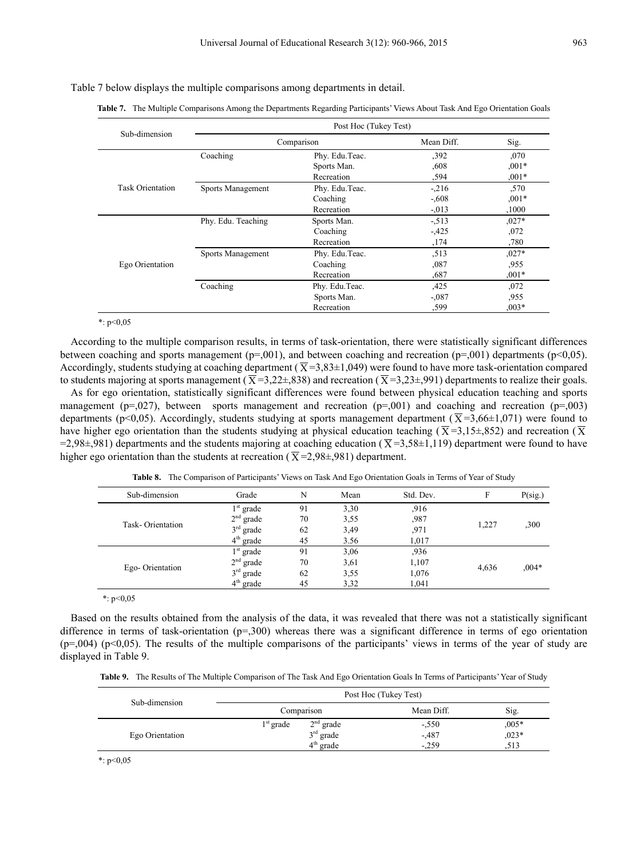#### Table 7 below displays the multiple comparisons among departments in detail.

**Table 7.** The Multiple Comparisons Among the Departments Regarding Participants' Views About Task And Ego Orientation Goals

| Sub-dimension           | Post Hoc (Tukey Test) |                |            |         |  |  |
|-------------------------|-----------------------|----------------|------------|---------|--|--|
|                         |                       | Comparison     | Mean Diff. | Sig.    |  |  |
|                         | Coaching              | Phy. Edu.Teac. | ,392       | ,070    |  |  |
|                         |                       | Sports Man.    | ,608       | $,001*$ |  |  |
|                         |                       | Recreation     | ,594       | $,001*$ |  |  |
| <b>Task Orientation</b> | Sports Management     | Phy. Edu.Teac. | $-.216$    | ,570    |  |  |
|                         |                       | Coaching       | $-.608$    | $,001*$ |  |  |
|                         |                       | Recreation     | $-.013$    | ,1000   |  |  |
|                         | Phy. Edu. Teaching    | Sports Man.    | $-513$     | $,027*$ |  |  |
|                         |                       | Coaching       | $-425$     | ,072    |  |  |
|                         |                       | Recreation     | ,174       | ,780    |  |  |
|                         | Sports Management     | Phy. Edu.Teac. | ,513       | $,027*$ |  |  |
| Ego Orientation         |                       | Coaching       | ,087       | ,955    |  |  |
|                         |                       | Recreation     | ,687       | $,001*$ |  |  |
|                         | Coaching              | Phy. Edu.Teac. | ,425       | ,072    |  |  |
|                         |                       | Sports Man.    | $-.087$    | ,955    |  |  |
|                         |                       | Recreation     | ,599       | $,003*$ |  |  |

#### $*$ : p<0,05

According to the multiple comparison results, in terms of task-orientation, there were statistically significant differences between coaching and sports management ( $p=001$ ), and between coaching and recreation ( $p=001$ ) departments ( $p<0.05$ ). Accordingly, students studying at coaching department ( $\overline{X}$ =3,83±1,049) were found to have more task-orientation compared to students majoring at sports management ( $\overline{X}$ =3,22±,838) and recreation ( $\overline{X}$ =3,23±,991) departments to realize their goals.

As for ego orientation, statistically significant differences were found between physical education teaching and sports management (p=,027), between sports management and recreation (p=,001) and coaching and recreation (p=,003) departments (p<0,05). Accordingly, students studying at sports management department ( $\overline{X}$ =3,66±1,071) were found to have higher ego orientation than the students studying at physical education teaching ( $\overline{X}$ =3,15±,852) and recreation ( $\overline{X}$ =2,98±,981) departments and the students majoring at coaching education ( $\overline{X}$ =3,58±1,119) department were found to have higher ego orientation than the students at recreation ( $\overline{X}$ =2,98±,981) department.

**Table 8.** The Comparison of Participants' Views on Task And Ego Orientation Goals in Terms of Year of Study

| Sub-dimension    | Grade       | N  | Mean | Std. Dev. | F     | $P(\text{sig.})$ |
|------------------|-------------|----|------|-----------|-------|------------------|
|                  | $1st$ grade | 91 | 3,30 | .916      |       |                  |
| Task-Orientation | $2nd$ grade | 70 | 3,55 | ,987      | 1,227 | ,300             |
|                  | $3rd$ grade | 62 | 3,49 | ,971      |       |                  |
|                  | $4th$ grade | 45 | 3.56 | 1,017     |       |                  |
|                  | $1st$ grade | 91 | 3,06 | ,936      |       |                  |
| Ego-Orientation  | $2nd$ grade | 70 | 3,61 | 1,107     |       |                  |
|                  | $3rd$ grade | 62 | 3,55 | 1,076     | 4,636 | $0.04*$          |
|                  | $4th$ grade | 45 | 3,32 | 1,041     |       |                  |

\*:  $p<0.05$ 

Based on the results obtained from the analysis of the data, it was revealed that there was not a statistically significant difference in terms of task-orientation  $(p=0.300)$  whereas there was a significant difference in terms of ego orientation  $(p=0.004)$  (p<0,05). The results of the multiple comparisons of the participants' views in terms of the year of study are displayed in Table 9.

**Table 9.** The Results of The Multiple Comparison of The Task And Ego Orientation Goals In Terms of Participants' Year of Study

| Sub-dimension   | Post Hoc (Tukey Test) |             |            |          |  |  |
|-----------------|-----------------------|-------------|------------|----------|--|--|
|                 | Comparison            |             | Mean Diff. | Sig.     |  |  |
|                 | $1st$ grade           | $2nd$ grade | $-.550$    | $0.005*$ |  |  |
| Ego Orientation |                       | $3rd$ grade | $-.487$    | $0.023*$ |  |  |
|                 |                       | $4th$ grade | $-259$     | 513      |  |  |
|                 |                       |             |            |          |  |  |

\*: p<0,05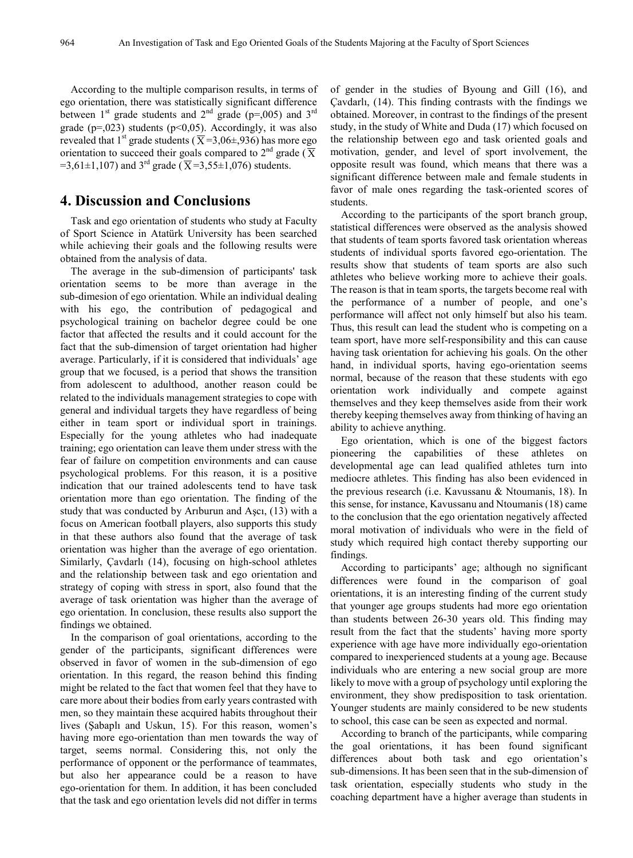According to the multiple comparison results, in terms of ego orientation, there was statistically significant difference between 1<sup>st</sup> grade students and  $2<sup>nd</sup>$  grade (p=,005) and 3<sup>rd</sup> grade ( $p=0.023$ ) students ( $p<0.05$ ). Accordingly, it was also revealed that 1<sup>st</sup> grade students ( $\overline{X}$ =3,06±,936) has more ego orientation to succeed their goals compared to  $2<sup>nd</sup>$  grade ( $\overline{X}$ =3,61±1,107) and 3<sup>rd</sup> grade ( $\overline{X}$  =3,55±1,076) students.

## **4. Discussion and Conclusions**

Task and ego orientation of students who study at Faculty of Sport Science in Atatürk University has been searched while achieving their goals and the following results were obtained from the analysis of data.

The average in the sub-dimension of participants' task orientation seems to be more than average in the sub-dimesion of ego orientation. While an individual dealing with his ego, the contribution of pedagogical and psychological training on bachelor degree could be one factor that affected the results and it could account for the fact that the sub-dimension of target orientation had higher average. Particularly, if it is considered that individuals' age group that we focused, is a period that shows the transition from adolescent to adulthood, another reason could be related to the individuals management strategies to cope with general and individual targets they have regardless of being either in team sport or individual sport in trainings. Especially for the young athletes who had inadequate training; ego orientation can leave them under stress with the fear of failure on competition environments and can cause psychological problems. For this reason, it is a positive indication that our trained adolescents tend to have task orientation more than ego orientation. The finding of the study that was conducted by Arıburun and Aşcı, (13) with a focus on American football players, also supports this study in that these authors also found that the average of task orientation was higher than the average of ego orientation. Similarly, Çavdarlı (14), focusing on high-school athletes and the relationship between task and ego orientation and strategy of coping with stress in sport, also found that the average of task orientation was higher than the average of ego orientation. In conclusion, these results also support the findings we obtained.

In the comparison of goal orientations, according to the gender of the participants, significant differences were observed in favor of women in the sub-dimension of ego orientation. In this regard, the reason behind this finding might be related to the fact that women feel that they have to care more about their bodies from early years contrasted with men, so they maintain these acquired habits throughout their lives (Şabaplı and Uskun, 15). For this reason, women's having more ego-orientation than men towards the way of target, seems normal. Considering this, not only the performance of opponent or the performance of teammates, but also her appearance could be a reason to have ego-orientation for them. In addition, it has been concluded that the task and ego orientation levels did not differ in terms

of gender in the studies of Byoung and Gill (16), and Çavdarlı, (14). This finding contrasts with the findings we obtained. Moreover, in contrast to the findings of the present study, in the study of White and Duda (17) which focused on the relationship between ego and task oriented goals and motivation, gender, and level of sport involvement, the opposite result was found, which means that there was a significant difference between male and female students in favor of male ones regarding the task-oriented scores of students.

According to the participants of the sport branch group, statistical differences were observed as the analysis showed that students of team sports favored task orientation whereas students of individual sports favored ego-orientation. The results show that students of team sports are also such athletes who believe working more to achieve their goals. The reason is that in team sports, the targets become real with the performance of a number of people, and one's performance will affect not only himself but also his team. Thus, this result can lead the student who is competing on a team sport, have more self-responsibility and this can cause having task orientation for achieving his goals. On the other hand, in individual sports, having ego-orientation seems normal, because of the reason that these students with ego orientation work individually and compete against themselves and they keep themselves aside from their work thereby keeping themselves away from thinking of having an ability to achieve anything.

Ego orientation, which is one of the biggest factors pioneering the capabilities of these athletes on developmental age can lead qualified athletes turn into mediocre athletes. This finding has also been evidenced in the previous research (i.e. Kavussanu & Ntoumanis, 18). In this sense, for instance, Kavussanu and Ntoumanis (18) came to the conclusion that the ego orientation negatively affected moral motivation of individuals who were in the field of study which required high contact thereby supporting our findings.

According to participants' age; although no significant differences were found in the comparison of goal orientations, it is an interesting finding of the current study that younger age groups students had more ego orientation than students between 26-30 years old. This finding may result from the fact that the students' having more sporty experience with age have more individually ego-orientation compared to inexperienced students at a young age. Because individuals who are entering a new social group are more likely to move with a group of psychology until exploring the environment, they show predisposition to task orientation. Younger students are mainly considered to be new students to school, this case can be seen as expected and normal.

According to branch of the participants, while comparing the goal orientations, it has been found significant differences about both task and ego orientation's sub-dimensions. It has been seen that in the sub-dimension of task orientation, especially students who study in the coaching department have a higher average than students in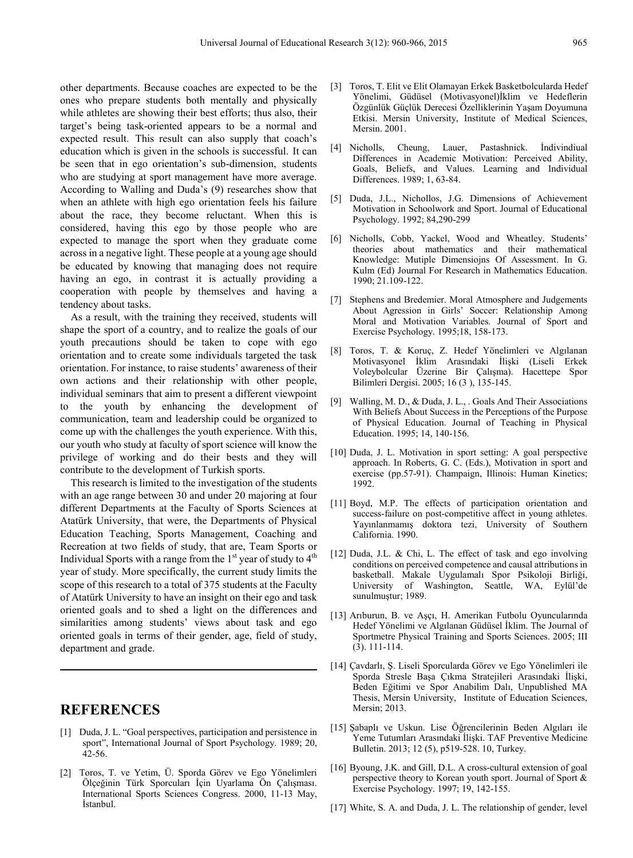other departments. Because coaches are expected to be the ones who prepare students both mentally and physically while athletes are showing their best efforts; thus also, their target's being task-oriented appears to be a normal and expected result. This result can also supply that coach's education which is given in the schools is successful. It can be seen that in ego orientation's sub-dimension, students who are studying at sport management have more average. According to Walling and Duda's (9) researches show that when an athlete with high ego orientation feels his failure about the race, they become reluctant. When this is considered, having this ego by those people who are expected to manage the sport when they graduate come across in a negative light. These people at a young age should be educated by knowing that managing does not require having an ego, in contrast it is actually providing a cooperation with people by themselves and having a tendency about tasks.

As a result, with the training they received, students will shape the sport of a country, and to realize the goals of our youth precautions should be taken to cope with ego orientation and to create some individuals targeted the task orientation. For instance, to raise students' awareness of their own actions and their relationship with other people, individual seminars that aim to present a different viewpoint to the youth by enhancing the development of communication, team and leadership could be organized to come up with the challenges the youth experience. With this, our youth who study at faculty of sport science will know the privilege of working and do their bests and they will contribute to the development of Turkish sports.

This research is limited to the investigation of the students with an age range between 30 and under 20 majoring at four different Departments at the Faculty of Sports Sciences at Atatürk University, that were, the Departments of Physical Education Teaching, Sports Management, Coaching and Recreation at two fields of study, that are, Team Sports or Individual Sports with a range from the  $1<sup>st</sup>$  year of study to  $4<sup>th</sup>$ year of study. More specifically, the current study limits the scope of this research to a total of 375 students at the Faculty of Atatürk University to have an insight on their ego and task oriented goals and to shed a light on the differences and similarities among students' views about task and ego oriented goals in terms of their gender, age, field of study, department and grade.

## **REFERENCES**

- [1] Duda, J. L. "Goal perspectives, participation and persistence in sport", International Journal of Sport Psychology. 1989; 20, 42-56.
- [2] Toros, T. ve Yetim, Ü. Sporda Görev ve Ego Yönelimleri Ölçeğinin Türk Sporcuları İçin Uyarlama Ön Çalışması. International Sports Sciences Congress. 2000, 11-13 May, İstanbul.
- [3] Toros, T. Elit ve Elit Olamayan Erkek Basketbolcularda Hedef Yönelimi, Güdüsel (Motivasyonel)İklim ve Hedeflerin Özgünlük Güçlük Derecesi Özelliklerinin Yaşam Doyumuna Etkisi. Mersin University, Institute of Medical Sciences, Mersin. 2001.
- [4] Nicholls, Cheung, Lauer, Pastashnick. İndivindiual Differences in Academic Motivation: Perceived Ability, Goals, Beliefs, and Values. Learning and Individual Differences. 1989; 1, 63-84.
- [5] Duda, J.L., Nichollos, J.G. Dimensions of Achievement Motivation in Schoolwork and Sport. Journal of Educational Psychology. 1992; 84,290-299
- [6] Nicholls, Cobb, Yackel, Wood and Wheatley. Students' theories about mathematics and their mathematical Knowledge: Mutiple Dimensiojns Of Assessment. In G. Kulm (Ed) Journal For Research in Mathematics Education. 1990; 21.109-122.
- [7] Stephens and Bredemier. Moral Atmosphere and Judgements About Agression in Girls' Soccer: Relationship Among Moral and Motivation Variables. Journal of Sport and Exercise Psychology. 1995;18, 158-173.
- [8] Toros, T. & Koruç, Z. Hedef Yönelimleri ve Algılanan Motivasyonel İklim Arasındaki İlişki (Liseli Erkek Voleybolcular Üzerine Bir Çalışma). Hacettepe Spor Bilimleri Dergisi. 2005; 16 (3 ), 135-145.
- [9] Walling, M. D., & Duda, J. L., . Goals And Their Associations With Beliefs About Success in the Perceptions of the Purpose of Physical Education. Journal of Teaching in Physical Education. 1995; 14, 140-156.
- [10] Duda, J. L. Motivation in sport setting: A goal perspective approach. In Roberts, G. C. (Eds.), Motivation in sport and exercise (pp.57-91). Champaign, Illinois: Human Kinetics; 1992.
- [11] Boyd, M.P. The effects of participation orientation and success-failure on post-competitive affect in young athletes. Yayınlanmamış doktora tezi, University of Southern California. 1990.
- [12] Duda, J.L. & Chi, L. The effect of task and ego involving conditions on perceived competence and causal attributions in basketball. Makale Uygulamalı Spor Psikoloji Birliği, University of Washington, Seattle, WA, Eylül'de sunulmuştur; 1989.
- [13] Arıburun, B. ve Aşçı, H. Amerikan Futbolu Oyuncularında Hedef Yönelimi ve Algılanan Güdüsel İklim. The Journal of Sportmetre Physical Training and Sports Sciences. 2005; III (3). 111-114.
- [14] Çavdarlı, Ş. Liseli Sporcularda Görev ve Ego Yönelimleri ile Sporda Stresle Başa Çıkma Stratejileri Arasındaki İlişki, Beden Eğitimi ve Spor Anabilim Dalı, Unpublished MA Thesis, Mersin University, Institute of Education Sciences, Mersin; 2013.
- [15] Şabaplı ve Uskun. Lise Öğrencilerinin Beden Algıları ile Yeme Tutumları Arasındaki İlişki. TAF Preventive Medicine Bulletin. 2013; 12 (5), p519-528. 10, Turkey.
- [16] Byoung, J.K. and Gill, D.L. A cross-cultural extension of goal perspective theory to Korean youth sport. Journal of Sport & Exercise Psychology. 1997; 19, 142-155.
- [17] White, S. A. and Duda, J. L. The relationship of gender, level